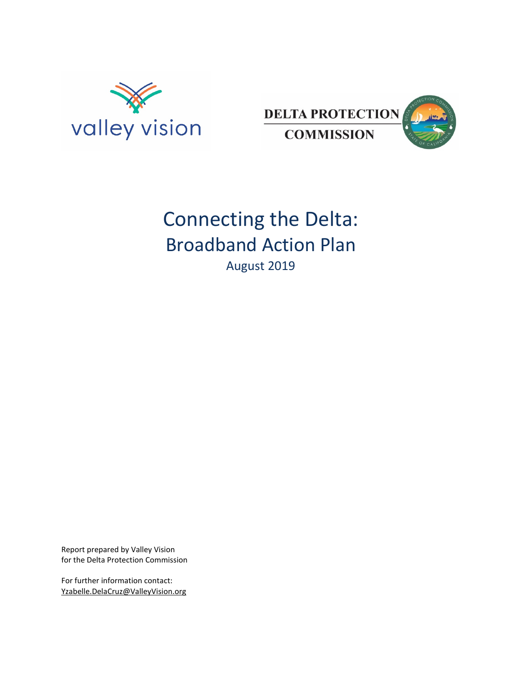



# Connecting the Delta: Broadband Action Plan August 2019

Report prepared by Valley Vision for the Delta Protection Commission

For further information contact: [Yzabelle.DelaCruz@ValleyVision.org](mailto:Yzabelle.DelaCruz@ValleyVision.org)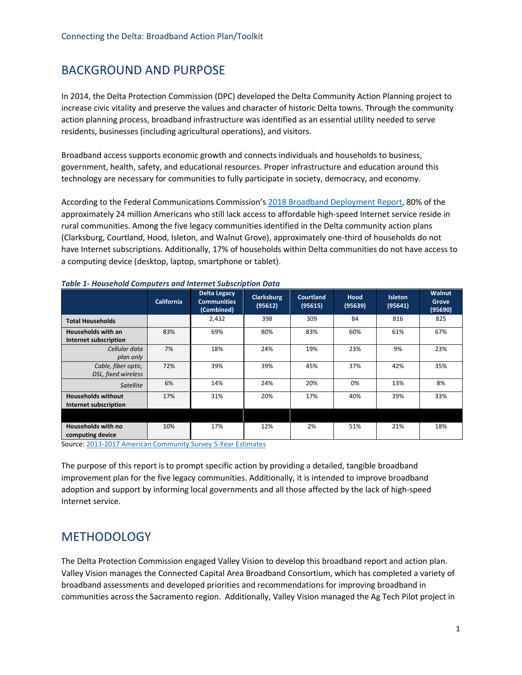# BACKGROUND AND PURPOSE

In 2014, the Delta Protection Commission (DPC) developed the Delta Community Action Planning project to increase civic vitality and preserve the values and character of historic Delta towns. Through the community action planning process, broadband infrastructure was identified as an essential utility needed to serve residents, businesses (including agricultural operations), and visitors.

Broadband access supports economic growth and connects individuals and households to business, government, health, safety, and educational resources. Proper infrastructure and education around this technology are necessary for communities to fully participate in society, democracy, and economy.

According to the Federal Communications Commission'[s 2018 Broadband Deployment Report,](https://www.fcc.gov/reports-research/reports/broadband-progress-reports/2018-broadband-deployment-report) 80% of the approximately 24 million Americans who still lack access to affordable high-speed Internet service reside in rural communities. Among the five legacy communities identified in the Delta community action plans (Clarksburg, Courtland, Hood, Isleton, and Walnut Grove), approximately one-third of households do not have Internet subscriptions. Additionally, 17% of households within Delta communities do not have access to a computing device (desktop, laptop, smartphone or tablet).

|                                                    | <b>California</b> | <b>Delta Legacy</b><br><b>Communities</b><br>(Combined) | <b>Clarksburg</b><br>(95612) | <b>Courtland</b><br>(95615) | <b>Hood</b><br>(95639) | <b>Isleton</b><br>(95641) | Walnut<br>Grove<br>(95690) |
|----------------------------------------------------|-------------------|---------------------------------------------------------|------------------------------|-----------------------------|------------------------|---------------------------|----------------------------|
| <b>Total Households</b>                            |                   | 2,432                                                   | 398                          | 309                         | 84                     | 816                       | 825                        |
| <b>Households with an</b><br>Internet subscription | 83%               | 69%                                                     | 80%                          | 83%                         | 60%                    | 61%                       | 67%                        |
| Cellular data<br>plan only                         | 7%                | 18%                                                     | 24%                          | 19%                         | 23%                    | 9%                        | 23%                        |
| Cable, fiber optic,<br>DSL, fixed wireless         | 72%               | 39%                                                     | 39%                          | 45%                         | 37%                    | 42%                       | 35%                        |
| <b>Satellite</b>                                   | 6%                | 14%                                                     | 24%                          | 20%                         | 0%                     | 13%                       | 8%                         |
| <b>Households without</b><br>Internet subscription | 17%               | 31%                                                     | 20%                          | 17%                         | 40%                    | 39%                       | 33%                        |
|                                                    |                   |                                                         |                              |                             |                        |                           |                            |
| Households with no<br>computing device             | 10%               | 17%                                                     | 12%                          | 2%                          | 51%                    | 21%                       | 18%                        |

#### *Table 1- Household Computers and Internet Subscription Data*

Source[: 2013-2017 American Community Survey 5-Year Estimates](https://www.census.gov/programs-surveys/acs/technical-documentation/table-and-geography-changes/2017/5-year.html)

The purpose of this report is to prompt specific action by providing a detailed, tangible broadband improvement plan for the five legacy communities. Additionally, it is intended to improve broadband adoption and support by informing local governments and all those affected by the lack of high-speed Internet service.

### **METHODOLOGY**

The Delta Protection Commission engaged Valley Vision to develop this broadband report and action plan. Valley Vision manages the Connected Capital Area Broadband Consortium, which has completed a variety of broadband assessments and developed priorities and recommendations for improving broadband in communities across the Sacramento region. Additionally, Valley Vision managed the Ag Tech Pilot project in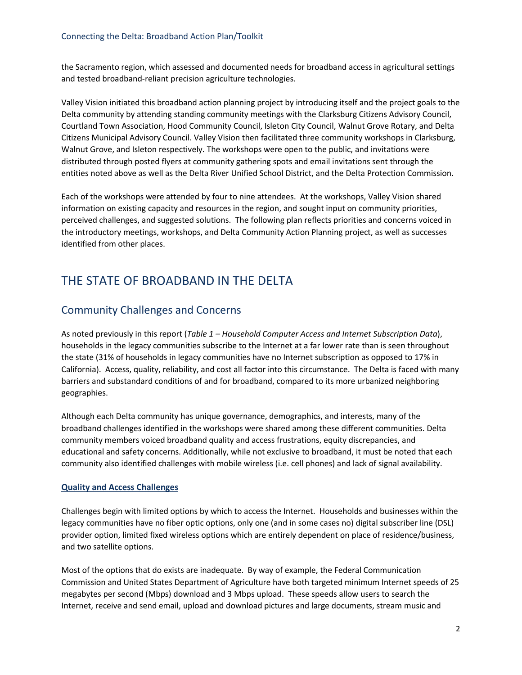the Sacramento region, which assessed and documented needs for broadband access in agricultural settings and tested broadband-reliant precision agriculture technologies.

Valley Vision initiated this broadband action planning project by introducing itself and the project goals to the Delta community by attending standing community meetings with the Clarksburg Citizens Advisory Council, Courtland Town Association, Hood Community Council, Isleton City Council, Walnut Grove Rotary, and Delta Citizens Municipal Advisory Council. Valley Vision then facilitated three community workshops in Clarksburg, Walnut Grove, and Isleton respectively. The workshops were open to the public, and invitations were distributed through posted flyers at community gathering spots and email invitations sent through the entities noted above as well as the Delta River Unified School District, and the Delta Protection Commission.

Each of the workshops were attended by four to nine attendees. At the workshops, Valley Vision shared information on existing capacity and resources in the region, and sought input on community priorities, perceived challenges, and suggested solutions. The following plan reflects priorities and concerns voiced in the introductory meetings, workshops, and Delta Community Action Planning project, as well as successes identified from other places.

# THE STATE OF BROADBAND IN THE DELTA

## Community Challenges and Concerns

As noted previously in this report (*Table 1 – Household Computer Access and Internet Subscription Data*), households in the legacy communities subscribe to the Internet at a far lower rate than is seen throughout the state (31% of households in legacy communities have no Internet subscription as opposed to 17% in California). Access, quality, reliability, and cost all factor into this circumstance. The Delta is faced with many barriers and substandard conditions of and for broadband, compared to its more urbanized neighboring geographies.

Although each Delta community has unique governance, demographics, and interests, many of the broadband challenges identified in the workshops were shared among these different communities. Delta community members voiced broadband quality and access frustrations, equity discrepancies, and educational and safety concerns. Additionally, while not exclusive to broadband, it must be noted that each community also identified challenges with mobile wireless (i.e. cell phones) and lack of signal availability.

#### **Quality and Access Challenges**

Challenges begin with limited options by which to access the Internet. Households and businesses within the legacy communities have no fiber optic options, only one (and in some cases no) digital subscriber line (DSL) provider option, limited fixed wireless options which are entirely dependent on place of residence/business, and two satellite options.

Most of the options that do exists are inadequate. By way of example, the Federal Communication Commission and United States Department of Agriculture have both targeted minimum Internet speeds of 25 megabytes per second (Mbps) download and 3 Mbps upload. These speeds allow users to search the Internet, receive and send email, upload and download pictures and large documents, stream music and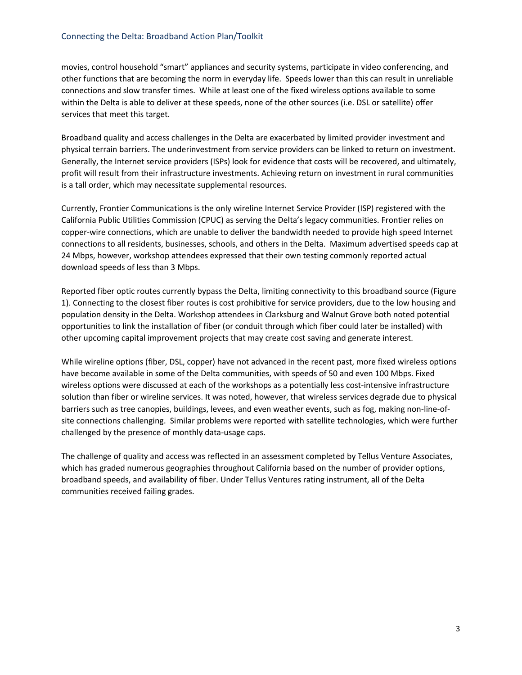#### Connecting the Delta: Broadband Action Plan/Toolkit

movies, control household "smart" appliances and security systems, participate in video conferencing, and other functions that are becoming the norm in everyday life. Speeds lower than this can result in unreliable connections and slow transfer times. While at least one of the fixed wireless options available to some within the Delta is able to deliver at these speeds, none of the other sources (i.e. DSL or satellite) offer services that meet this target.

Broadband quality and access challenges in the Delta are exacerbated by limited provider investment and physical terrain barriers. The underinvestment from service providers can be linked to return on investment. Generally, the Internet service providers (ISPs) look for evidence that costs will be recovered, and ultimately, profit will result from their infrastructure investments. Achieving return on investment in rural communities is a tall order, which may necessitate supplemental resources.

Currently, Frontier Communications is the only wireline Internet Service Provider (ISP) registered with the California Public Utilities Commission (CPUC) as serving the Delta's legacy communities. Frontier relies on copper-wire connections, which are unable to deliver the bandwidth needed to provide high speed Internet connections to all residents, businesses, schools, and others in the Delta. Maximum advertised speeds cap at 24 Mbps, however, workshop attendees expressed that their own testing commonly reported actual download speeds of less than 3 Mbps.

Reported fiber optic routes currently bypass the Delta, limiting connectivity to this broadband source (Figure 1). Connecting to the closest fiber routes is cost prohibitive for service providers, due to the low housing and population density in the Delta. Workshop attendees in Clarksburg and Walnut Grove both noted potential opportunities to link the installation of fiber (or conduit through which fiber could later be installed) with other upcoming capital improvement projects that may create cost saving and generate interest.

While wireline options (fiber, DSL, copper) have not advanced in the recent past, more fixed wireless options have become available in some of the Delta communities, with speeds of 50 and even 100 Mbps. Fixed wireless options were discussed at each of the workshops as a potentially less cost-intensive infrastructure solution than fiber or wireline services. It was noted, however, that wireless services degrade due to physical barriers such as tree canopies, buildings, levees, and even weather events, such as fog, making non-line-ofsite connections challenging. Similar problems were reported with satellite technologies, which were further challenged by the presence of monthly data-usage caps.

The challenge of quality and access was reflected in an assessment completed by Tellus Venture Associates, which has graded numerous geographies throughout California based on the number of provider options, broadband speeds, and availability of fiber. Under Tellus Ventures rating instrument, all of the Delta communities received failing grades.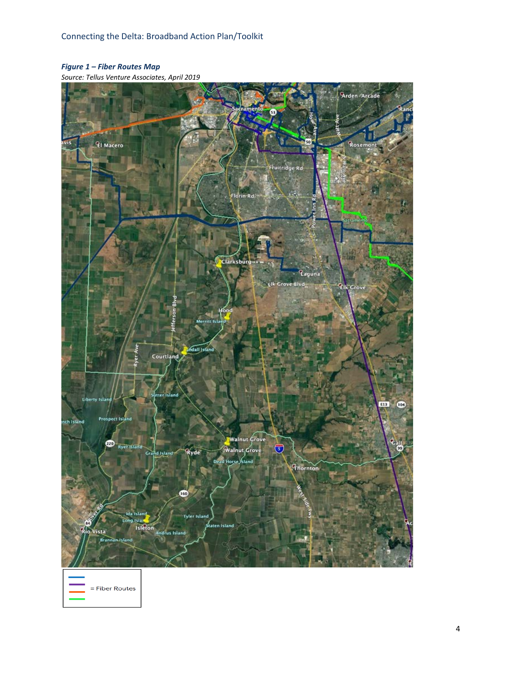### *Figure 1 – Fiber Routes Map*

*Source: Tellus Venture Associates, April 2019*

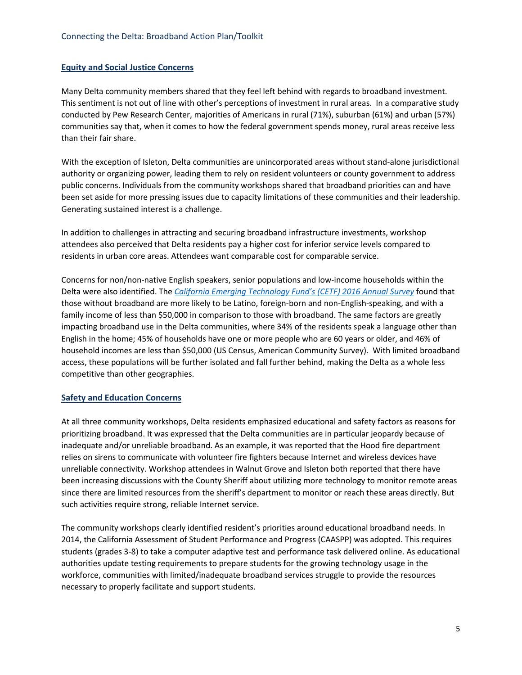#### **Equity and Social Justice Concerns**

Many Delta community members shared that they feel left behind with regards to broadband investment. This sentiment is not out of line with other's perceptions of investment in rural areas. In a comparative study conducted by Pew Research Center, majorities of Americans in rural (71%), suburban (61%) and urban (57%) communities say that, when it comes to how the federal government spends money, rural areas receive less than their fair share.

With the exception of Isleton, Delta communities are unincorporated areas without stand-alone jurisdictional authority or organizing power, leading them to rely on resident volunteers or county government to address public concerns. Individuals from the community workshops shared that broadband priorities can and have been set aside for more pressing issues due to capacity limitations of these communities and their leadership. Generating sustained interest is a challenge.

In addition to challenges in attracting and securing broadband infrastructure investments, workshop attendees also perceived that Delta residents pay a higher cost for inferior service levels compared to residents in urban core areas. Attendees want comparable cost for comparable service.

Concerns for non/non-native English speakers, senior populations and low-income households within the Delta were also identified. The *[California Emerging Technology Fund's \(CETF\) 2016 Annual Survey](http://www.cetfund.org/files/CETF_Annual_Survey_Digital_Divide_2016.pdf)* found that those without broadband are more likely to be Latino, foreign-born and non-English-speaking, and with a family income of less than \$50,000 in comparison to those with broadband. The same factors are greatly impacting broadband use in the Delta communities, where 34% of the residents speak a language other than English in the home; 45% of households have one or more people who are 60 years or older, and 46% of household incomes are less than \$50,000 (US Census, American Community Survey). With limited broadband access, these populations will be further isolated and fall further behind, making the Delta as a whole less competitive than other geographies.

#### **Safety and Education Concerns**

At all three community workshops, Delta residents emphasized educational and safety factors as reasons for prioritizing broadband. It was expressed that the Delta communities are in particular jeopardy because of inadequate and/or unreliable broadband. As an example, it was reported that the Hood fire department relies on sirens to communicate with volunteer fire fighters because Internet and wireless devices have unreliable connectivity. Workshop attendees in Walnut Grove and Isleton both reported that there have been increasing discussions with the County Sheriff about utilizing more technology to monitor remote areas since there are limited resources from the sheriff's department to monitor or reach these areas directly. But such activities require strong, reliable Internet service.

The community workshops clearly identified resident's priorities around educational broadband needs. In 2014, the California Assessment of Student Performance and Progress (CAASPP) was adopted. This requires students (grades 3-8) to take a computer adaptive test and performance task delivered online. As educational authorities update testing requirements to prepare students for the growing technology usage in the workforce, communities with limited/inadequate broadband services struggle to provide the resources necessary to properly facilitate and support students.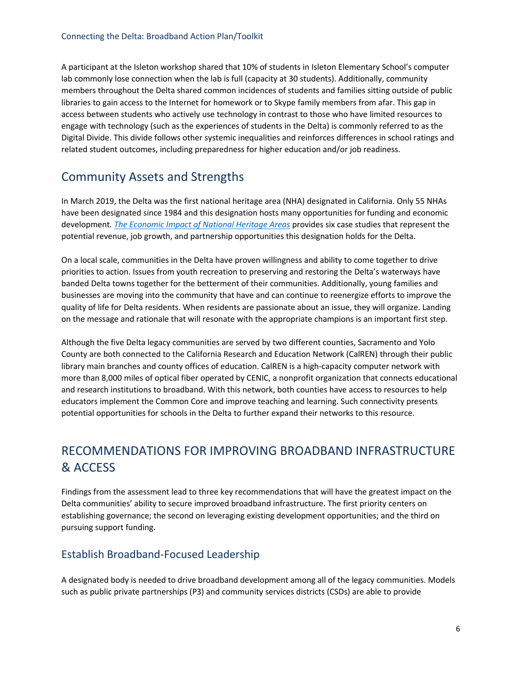A participant at the Isleton workshop shared that 10% of students in Isleton Elementary School's computer lab commonly lose connection when the lab is full (capacity at 30 students). Additionally, community members throughout the Delta shared common incidences of students and families sitting outside of public libraries to gain access to the Internet for homework or to Skype family members from afar. This gap in access between students who actively use technology in contrast to those who have limited resources to engage with technology (such as the experiences of students in the Delta) is commonly referred to as the Digital Divide. This divide follows other systemic inequalities and reinforces differences in school ratings and related student outcomes, including preparedness for higher education and/or job readiness.

# Community Assets and Strengths

In March 2019, the Delta was the first national heritage area (NHA) designated in California. Only 55 NHAs have been designated since 1984 and this designation hosts many opportunities for funding and economic development*. [The Economic Impact of National Heritage Areas](https://www.nps.gov/subjects/heritageareas/upload/The-Economic-Impact-of-National-Heritage-Areas_Six-Case-Studies-2015-1.pdf)* provides six case studies that represent the potential revenue, job growth, and partnership opportunities this designation holds for the Delta.

On a local scale, communities in the Delta have proven willingness and ability to come together to drive priorities to action. Issues from youth recreation to preserving and restoring the Delta's waterways have banded Delta towns together for the betterment of their communities. Additionally, young families and businesses are moving into the community that have and can continue to reenergize efforts to improve the quality of life for Delta residents. When residents are passionate about an issue, they will organize. Landing on the message and rationale that will resonate with the appropriate champions is an important first step.

Although the five Delta legacy communities are served by two different counties, Sacramento and Yolo County are both connected to the California Research and Education Network (CalREN) through their public library main branches and county offices of education. CalREN is a high-capacity computer network with more than 8,000 miles of optical fiber operated by CENIC, a nonprofit organization that connects educational and research institutions to broadband. With this network, both counties have access to resources to help educators implement the Common Core and improve teaching and learning. Such connectivity presents potential opportunities for schools in the Delta to further expand their networks to this resource.

# RECOMMENDATIONS FOR IMPROVING BROADBAND INFRASTRUCTURE & ACCESS

Findings from the assessment lead to three key recommendations that will have the greatest impact on the Delta communities' ability to secure improved broadband infrastructure. The first priority centers on establishing governance; the second on leveraging existing development opportunities; and the third on pursuing support funding.

## Establish Broadband-Focused Leadership

A designated body is needed to drive broadband development among all of the legacy communities. Models such as public private partnerships (P3) and community services districts (CSDs) are able to provide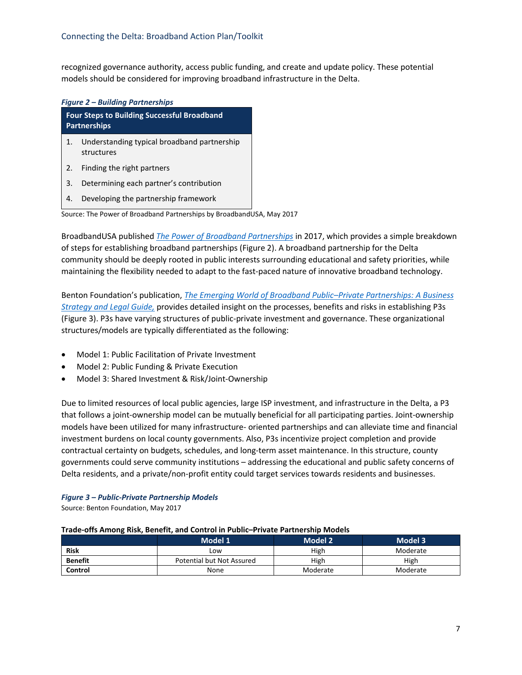recognized governance authority, access public funding, and create and update policy. These potential models should be considered for improving broadband infrastructure in the Delta.

#### *Figure 2 – Building Partnerships*

| <b>Four Steps to Building Successful Broadband</b><br>Partnerships |                                                           |  |
|--------------------------------------------------------------------|-----------------------------------------------------------|--|
| $\mathbf{1}$ .                                                     | Understanding typical broadband partnership<br>structures |  |
| 2.                                                                 | Finding the right partners                                |  |
| 3.                                                                 | Determining each partner's contribution                   |  |
| 4.                                                                 | Developing the partnership framework                      |  |

Source: The Power of Broadband Partnerships by BroadbandUSA, May 2017

BroadbandUSA published *[The Power of Broadband Partnerships](https://broadbandusa.ntia.doc.gov/sites/default/files/resource-files/bbusa_power_broadband_partnerships.pdf)* in 2017, which provides a simple breakdown of steps for establishing broadband partnerships (Figure 2). A broadband partnership for the Delta community should be deeply rooted in public interests surrounding educational and safety priorities, while maintaining the flexibility needed to adapt to the fast-paced nature of innovative broadband technology.

Benton Foundation's publication, *The Emerging World of Broadband Public–Private Partnerships: A Business Strategy and Legal Guide,* [provides detailed insight on the processes, benefits and risks in establishing P3s](https://www.benton.org/sites/default/files/partnerships.pdf) (Figure 3). P3s have varying structures of public-private investment and governance. These organizational structures/models are typically differentiated as the following:

- Model 1: Public Facilitation of Private Investment
- Model 2: Public Funding & Private Execution
- Model 3: Shared Investment & Risk/Joint-Ownership

Due to limited resources of local public agencies, large ISP investment, and infrastructure in the Delta, a P3 that follows a joint-ownership model can be mutually beneficial for all participating parties. Joint-ownership models have been utilized for many infrastructure- oriented partnerships and can alleviate time and financial investment burdens on local county governments. Also, P3s incentivize project completion and provide contractual certainty on budgets, schedules, and long-term asset maintenance. In this structure, county governments could serve community institutions – addressing the educational and public safety concerns of Delta residents, and a private/non-profit entity could target services towards residents and businesses.

#### *Figure 3 – Public-Private Partnership Models*

Source: Benton Foundation, May 2017

#### **Trade-offs Among Risk, Benefit, and Control in Public–Private Partnership Models**

|                | Model 1                   | <b>Model 2</b> | Model 3  |
|----------------|---------------------------|----------------|----------|
| Risk           | Low                       | High           | Moderate |
| <b>Benefit</b> | Potential but Not Assured | High           | High     |
| Control        | None                      | Moderate       | Moderate |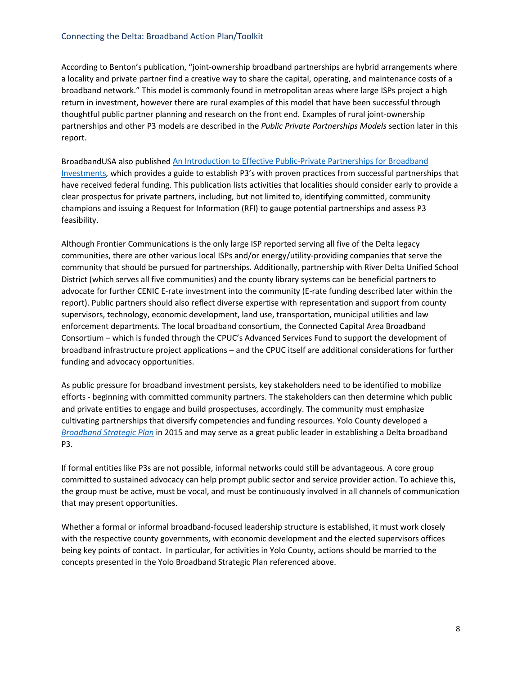#### Connecting the Delta: Broadband Action Plan/Toolkit

According to Benton's publication, "joint-ownership broadband partnerships are hybrid arrangements where a locality and private partner find a creative way to share the capital, operating, and maintenance costs of a broadband network." This model is commonly found in metropolitan areas where large ISPs project a high return in investment, however there are rural examples of this model that have been successful through thoughtful public partner planning and research on the front end. Examples of rural joint-ownership partnerships and other P3 models are described in the *Public Private Partnerships Models* section later in this report.

[BroadbandUSA also published An Introduction to Effective Public-Private Partnerships for Broadband](https://broadbandusa.ntia.doc.gov/sites/default/files/resource-files/bbusa_effective_public_private_partnerships.pdf)  Investments*,* which provides a guide to establish P3's with proven practices from successful partnerships that have received federal funding. This publication lists activities that localities should consider early to provide a clear prospectus for private partners, including, but not limited to, identifying committed, community champions and issuing a Request for Information (RFI) to gauge potential partnerships and assess P3 feasibility.

Although Frontier Communications is the only large ISP reported serving all five of the Delta legacy communities, there are other various local ISPs and/or energy/utility-providing companies that serve the community that should be pursued for partnerships. Additionally, partnership with River Delta Unified School District (which serves all five communities) and the county library systems can be beneficial partners to advocate for further CENIC E-rate investment into the community (E-rate funding described later within the report). Public partners should also reflect diverse expertise with representation and support from county supervisors, technology, economic development, land use, transportation, municipal utilities and law enforcement departments. The local broadband consortium, the Connected Capital Area Broadband Consortium – which is funded through the CPUC's Advanced Services Fund to support the development of broadband infrastructure project applications – and the CPUC itself are additional considerations for further funding and advocacy opportunities.

As public pressure for broadband investment persists, key stakeholders need to be identified to mobilize efforts - beginning with committed community partners. The stakeholders can then determine which public and private entities to engage and build prospectuses, accordingly. The community must emphasize cultivating partnerships that diversify competencies and funding resources. Yolo County developed a *[Broadband Strategic Plan](https://www.yolocounty.org/home/showdocument?id=29078)* in 2015 and may serve as a great public leader in establishing a Delta broadband P3.

If formal entities like P3s are not possible, informal networks could still be advantageous. A core group committed to sustained advocacy can help prompt public sector and service provider action. To achieve this, the group must be active, must be vocal, and must be continuously involved in all channels of communication that may present opportunities.

Whether a formal or informal broadband-focused leadership structure is established, it must work closely with the respective county governments, with economic development and the elected supervisors offices being key points of contact. In particular, for activities in Yolo County, actions should be married to the concepts presented in the Yolo Broadband Strategic Plan referenced above.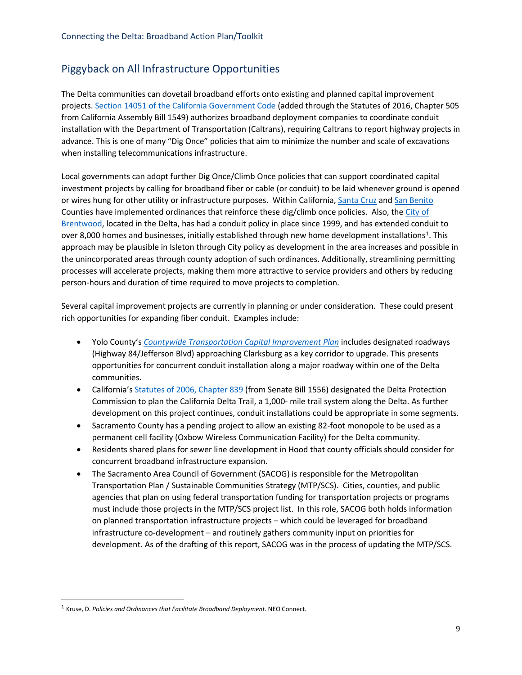### Piggyback on All Infrastructure Opportunities

The Delta communities can dovetail broadband efforts onto existing and planned capital improvement projects. [Section 14051 of the California Government Code](http://leginfo.legislature.ca.gov/faces/billNavClient.xhtml?bill_id=201520160AB1549) (added through the Statutes of 2016, Chapter 505 from California Assembly Bill 1549) authorizes broadband deployment companies to coordinate conduit installation with the Department of Transportation (Caltrans), requiring Caltrans to report highway projects in advance. This is one of many "Dig Once" policies that aim to minimize the number and scale of excavations when installing telecommunications infrastructure.

Local governments can adopt further Dig Once/Climb Once policies that can support coordinated capital investment projects by calling for broadband fiber or cable (or conduit) to be laid whenever ground is opened or wires hung for other utility or infrastructure purposes. Within California[, Santa Cruz](https://www.codepublishing.com/CA/SantaCruzCounty/html/SantaCruzCounty12/SantaCruzCounty1225.html#12.25) an[d San Benito](http://library.amlegal.com/nxt/gateway.dll/California/sanbenitocounty_ca/sanbenitocountycaliforniacodeofordinance?f=templates$fn=default.htm$3.0$vid=amlegal:sanbenitocounty_ca) Counties have implemented ordinances that reinforce these dig/climb once policies. Also, the City of Brentwood, located in the Delta, [has had a conduit policy in place since 1999, and has extended conduit to](https://www.brentwoodca.gov/civicax/filebank/blobdload.aspx?BlobID=35187)  over 8,000 homes and businesses, initially established through new home development installations<sup>[1](#page-10-0)</sup>. This approach may be plausible in Isleton through City policy as development in the area increases and possible in the unincorporated areas through county adoption of such ordinances. Additionally, streamlining permitting processes will accelerate projects, making them more attractive to service providers and others by reducing person-hours and duration of time required to move projects to completion.

Several capital improvement projects are currently in planning or under consideration. These could present rich opportunities for expanding fiber conduit. Examples include:

- Yolo County's *[Countywide Transportation Capital Improvement Plan](http://yoloagenda.yolocounty.org:8085/docs/2018/BOS/20180206_1893/6934_CTCIP%20Report%20V14r.pdf)* includes designated roadways (Highway 84/Jefferson Blvd) approaching Clarksburg as a key corridor to upgrade. This presents opportunities for concurrent conduit installation along a major roadway within one of the Delta communities.
- California's [Statutes of 2006, Chapter 839](https://leginfo.legislature.ca.gov/faces/codes_displayText.xhtml?lawCode=PRC&division=5.&title=&part=&chapter=12.&article=) (from Senate Bill 1556) designated the Delta Protection Commission to plan the California Delta Trail, a 1,000- mile trail system along the Delta. As further development on this project continues, conduit installations could be appropriate in some segments.
- Sacramento County has a pending project to allow an existing 82-foot monopole to be used as a permanent cell facility (Oxbow Wireless Communication Facility) for the Delta community.
- Residents shared plans for sewer line development in Hood that county officials should consider for concurrent broadband infrastructure expansion.
- The Sacramento Area Council of Government (SACOG) is responsible for the Metropolitan Transportation Plan / Sustainable Communities Strategy (MTP/SCS). Cities, counties, and public agencies that plan on using federal transportation funding for transportation projects or programs must include those projects in the MTP/SCS project list. In this role, SACOG both holds information on planned transportation infrastructure projects – which could be leveraged for broadband infrastructure co-development – and routinely gathers community input on priorities for development. As of the drafting of this report, SACOG was in the process of updating the MTP/SCS.

<span id="page-10-0"></span><sup>1</sup> Kruse, D. *Policies and Ordinances that Facilitate Broadband Deployment*. NEO Connect.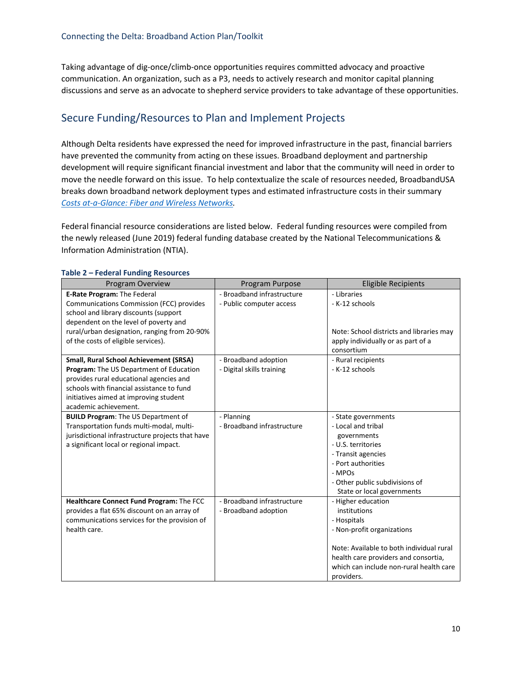Taking advantage of dig-once/climb-once opportunities requires committed advocacy and proactive communication. An organization, such as a P3, needs to actively research and monitor capital planning discussions and serve as an advocate to shepherd service providers to take advantage of these opportunities.

# Secure Funding/Resources to Plan and Implement Projects

Although Delta residents have expressed the need for improved infrastructure in the past, financial barriers have prevented the community from acting on these issues. Broadband deployment and partnership development will require significant financial investment and labor that the community will need in order to move the needle forward on this issue. To help contextualize the scale of resources needed, BroadbandUSA breaks down broadband network deployment types and estimated infrastructure costs in their summary *[Costs at-a-Glance: Fiber and Wireless Networks.](https://broadbandusa.ntia.doc.gov/sites/default/files/resource-files/bbusa_costs_at_glance_networks.pdf)* 

Federal financial resource considerations are listed below. Federal funding resources were compiled from the newly released (June 2019) federal funding database created by the National Telecommunications & Information Administration (NTIA).

| Program Overview                                 | Program Purpose            | <b>Eligible Recipients</b>               |
|--------------------------------------------------|----------------------------|------------------------------------------|
| E-Rate Program: The Federal                      | - Broadband infrastructure | - Libraries                              |
| Communications Commission (FCC) provides         | - Public computer access   | - K-12 schools                           |
| school and library discounts (support            |                            |                                          |
| dependent on the level of poverty and            |                            |                                          |
| rural/urban designation, ranging from 20-90%     |                            | Note: School districts and libraries may |
| of the costs of eligible services).              |                            | apply individually or as part of a       |
|                                                  |                            | consortium                               |
| <b>Small, Rural School Achievement (SRSA)</b>    | - Broadband adoption       | - Rural recipients                       |
| Program: The US Department of Education          | - Digital skills training  | - K-12 schools                           |
| provides rural educational agencies and          |                            |                                          |
| schools with financial assistance to fund        |                            |                                          |
| initiatives aimed at improving student           |                            |                                          |
| academic achievement.                            |                            |                                          |
| <b>BUILD Program: The US Department of</b>       | - Planning                 | - State governments                      |
| Transportation funds multi-modal, multi-         | - Broadband infrastructure | - Local and tribal                       |
| jurisdictional infrastructure projects that have |                            | governments                              |
| a significant local or regional impact.          |                            | - U.S. territories                       |
|                                                  |                            | - Transit agencies                       |
|                                                  |                            | - Port authorities                       |
|                                                  |                            | - MPOs                                   |
|                                                  |                            | - Other public subdivisions of           |
|                                                  |                            | State or local governments               |
| Healthcare Connect Fund Program: The FCC         | - Broadband infrastructure | - Higher education                       |
| provides a flat 65% discount on an array of      | - Broadband adoption       | institutions                             |
| communications services for the provision of     |                            | - Hospitals                              |
| health care.                                     |                            | - Non-profit organizations               |
|                                                  |                            |                                          |
|                                                  |                            | Note: Available to both individual rural |
|                                                  |                            | health care providers and consortia,     |
|                                                  |                            | which can include non-rural health care  |
|                                                  |                            | providers.                               |

#### **Table 2 – Federal Funding Resources**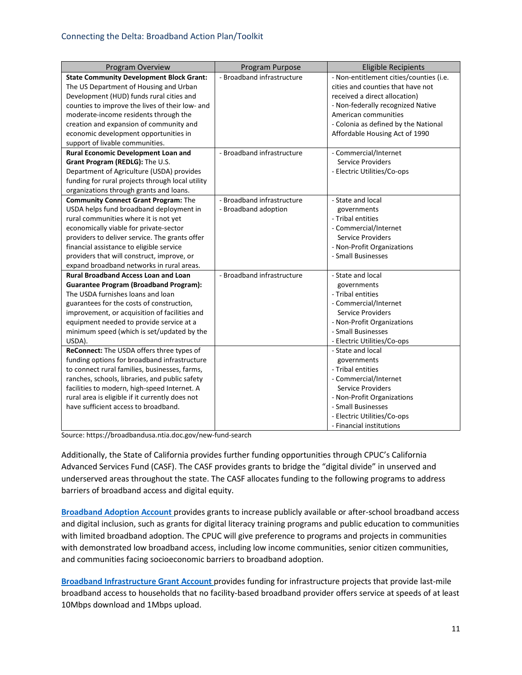| Program Overview                                 | Program Purpose            | <b>Eligible Recipients</b>              |
|--------------------------------------------------|----------------------------|-----------------------------------------|
| <b>State Community Development Block Grant:</b>  | - Broadband infrastructure | - Non-entitlement cities/counties (i.e. |
| The US Department of Housing and Urban           |                            | cities and counties that have not       |
| Development (HUD) funds rural cities and         |                            | received a direct allocation)           |
| counties to improve the lives of their low- and  |                            | - Non-federally recognized Native       |
| moderate-income residents through the            |                            | American communities                    |
| creation and expansion of community and          |                            | - Colonia as defined by the National    |
| economic development opportunities in            |                            | Affordable Housing Act of 1990          |
| support of livable communities.                  |                            |                                         |
| <b>Rural Economic Development Loan and</b>       | - Broadband infrastructure | - Commercial/Internet                   |
| Grant Program (REDLG): The U.S.                  |                            | Service Providers                       |
| Department of Agriculture (USDA) provides        |                            | - Electric Utilities/Co-ops             |
| funding for rural projects through local utility |                            |                                         |
| organizations through grants and loans.          |                            |                                         |
| <b>Community Connect Grant Program: The</b>      | - Broadband infrastructure | - State and local                       |
| USDA helps fund broadband deployment in          | - Broadband adoption       | governments                             |
| rural communities where it is not yet            |                            | - Tribal entities                       |
| economically viable for private-sector           |                            | - Commercial/Internet                   |
| providers to deliver service. The grants offer   |                            | <b>Service Providers</b>                |
| financial assistance to eligible service         |                            | - Non-Profit Organizations              |
| providers that will construct, improve, or       |                            | - Small Businesses                      |
| expand broadband networks in rural areas.        |                            |                                         |
| <b>Rural Broadband Access Loan and Loan</b>      | - Broadband infrastructure | - State and local                       |
| <b>Guarantee Program (Broadband Program):</b>    |                            | governments                             |
| The USDA furnishes loans and loan                |                            | - Tribal entities                       |
| guarantees for the costs of construction,        |                            | - Commercial/Internet                   |
| improvement, or acquisition of facilities and    |                            | <b>Service Providers</b>                |
| equipment needed to provide service at a         |                            | - Non-Profit Organizations              |
| minimum speed (which is set/updated by the       |                            | - Small Businesses                      |
| USDA).                                           |                            | - Electric Utilities/Co-ops             |
| ReConnect: The USDA offers three types of        |                            | - State and local                       |
| funding options for broadband infrastructure     |                            | governments                             |
| to connect rural families, businesses, farms,    |                            | - Tribal entities                       |
| ranches, schools, libraries, and public safety   |                            | - Commercial/Internet                   |
| facilities to modern, high-speed Internet. A     |                            | <b>Service Providers</b>                |
| rural area is eligible if it currently does not  |                            | - Non-Profit Organizations              |
| have sufficient access to broadband.             |                            | - Small Businesses                      |
|                                                  |                            | - Electric Utilities/Co-ops             |
|                                                  |                            | - Financial institutions                |

Source[: https://broadbandusa.ntia.doc.gov/new-fund-search](https://broadbandusa.ntia.doc.gov/new-fund-search)

Additionally, the State of California provides further funding opportunities through CPUC's California Advanced Services Fund (CASF). The CASF provides grants to bridge the "digital divide" in unserved and underserved areas throughout the state. The CASF allocates funding to the following programs to address barriers of broadband access and digital equity.

**[Broadband Adoption Account](https://www.cpuc.ca.gov/General.aspx?id=6442457502)** provides grants to increase publicly available or after-school broadband access and digital inclusion, such as grants for digital literacy training programs and public education to communities with limited broadband adoption. The CPUC will give preference to programs and projects in communities with demonstrated low broadband access, including low income communities, senior citizen communities, and communities facing socioeconomic barriers to broadband adoption.

**[Broadband Infrastructure Grant Account](https://www.cpuc.ca.gov/General.aspx?id=8246)** provides funding for infrastructure projects that provide last-mile broadband access to households that no facility-based broadband provider offers service at speeds of at least 10Mbps download and 1Mbps upload.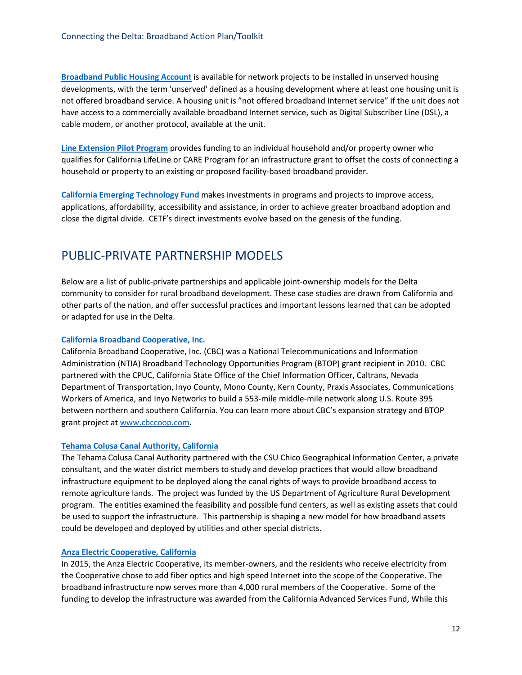**[Broadband Public Housing Account](https://www.cpuc.ca.gov/General.aspx?id=908)** is available for network projects to be installed in unserved housing developments, with the term 'unserved' defined as a housing development where at least one housing unit is not offered broadband service. A housing unit is "not offered broadband Internet service" if the unit does not have access to a commercially available broadband Internet service, such as Digital Subscriber Line (DSL), a cable modem, or another protocol, available at the unit.

**[Line Extension Pilot Program](https://www.cpuc.ca.gov/General.aspx?id=6442461446)** provides funding to an individual household and/or property owner who qualifies for California LifeLine or CARE Program for an infrastructure grant to offset the costs of connecting a household or property to an existing or proposed facility-based broadband provider.

**[California Emerging Technology Fund](http://www.cetfund.org/)** makes investments in programs and projects to improve access, applications, affordability, accessibility and assistance, in order to achieve greater broadband adoption and close the digital divide. CETF's direct investments evolve based on the genesis of the funding.

# PUBLIC-PRIVATE PARTNERSHIP MODELS

Below are a list of public-private partnerships and applicable joint-ownership models for the Delta community to consider for rural broadband development. These case studies are drawn from California and other parts of the nation, and offer successful practices and important lessons learned that can be adopted or adapted for use in the Delta.

#### **[California Broadband Cooperative, Inc.](https://www2.ntia.doc.gov/files/grantees/ca_broadband_coop.pdf)**

California Broadband Cooperative, Inc. (CBC) was a National Telecommunications and Information Administration (NTIA) Broadband Technology Opportunities Program (BTOP) grant recipient in 2010. CBC partnered with the CPUC, California State Office of the Chief Information Officer, Caltrans, Nevada Department of Transportation, Inyo County, Mono County, Kern County, Praxis Associates, Communications Workers of America, and Inyo Networks to build a 553-mile middle-mile network along U.S. Route 395 between northern and southern California. You can learn more about CBC's expansion strategy and BTOP grant project a[t www.cbccoop.com.](http://www.cbccoop.com/) 

#### **[Tehama Colusa Canal Authority, California](http://tccanal.com/)**

The Tehama Colusa Canal Authority partnered with the CSU Chico Geographical Information Center, a private consultant, and the water district members to study and develop practices that would allow broadband infrastructure equipment to be deployed along the canal rights of ways to provide broadband access to remote agriculture lands. The project was funded by the US Department of Agriculture Rural Development program. The entities examined the feasibility and possible fund centers, as well as existing assets that could be used to support the infrastructure. This partnership is shaping a new model for how broadband assets could be developed and deployed by utilities and other special districts.

#### **[Anza Electric Cooperative, California](https://connectanza.org/)**

In 2015, the Anza Electric Cooperative, its member-owners, and the residents who receive electricity from the Cooperative chose to add fiber optics and high speed Internet into the scope of the Cooperative. The broadband infrastructure now serves more than 4,000 rural members of the Cooperative. Some of the funding to develop the infrastructure was awarded from the California Advanced Services Fund, While this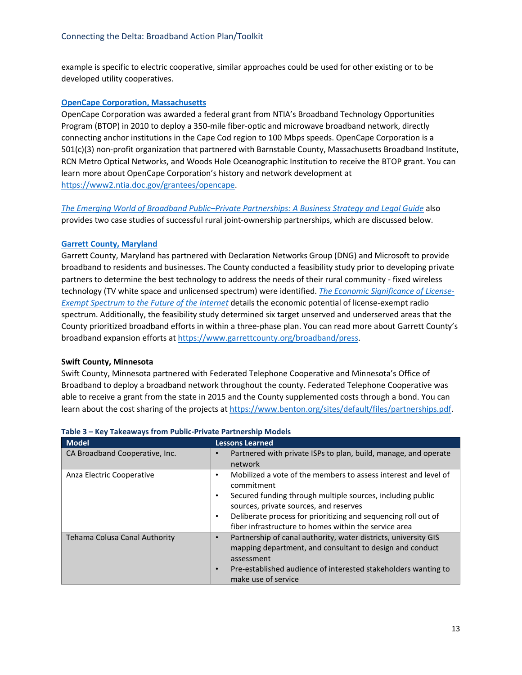example is specific to electric cooperative, similar approaches could be used for other existing or to be developed utility cooperatives.

#### **[OpenCape Corporation, Massachusetts](https://opencape.org/uploads/History-REVISED-4.2017.pdf)**

OpenCape Corporation was awarded a federal grant from NTIA's Broadband Technology Opportunities Program (BTOP) in 2010 to deploy a 350-mile fiber-optic and microwave broadband network, directly connecting anchor institutions in the Cape Cod region to 100 Mbps speeds. OpenCape Corporation is a 501(c)(3) non-profit organization that partnered with Barnstable County, Massachusetts Broadband Institute, RCN Metro Optical Networks, and Woods Hole Oceanographic Institution to receive the BTOP grant. You can learn more about OpenCape Corporation's history and network development at [https://www2.ntia.doc.gov/grantees/opencape.](https://www2.ntia.doc.gov/grantees/opencape) 

*[The Emerging World of Broadband Public–Private Partnerships: A Business Strategy and Legal Guide](https://www.benton.org/sites/default/files/partnerships.pdf)* also provides two case studies of successful rural joint-ownership partnerships, which are discussed below.

#### **[Garrett County, Maryland](https://www.garrettcounty.org/broadband/press)**

Garrett County, Maryland has partnered with Declaration Networks Group (DNG) and Microsoft to provide broadband to residents and businesses. The County conducted a feasibility study prior to developing private partners to determine the best technology to address the needs of their rural community - fixed wireless [technology \(TV white space and unlicensed spectrum\) were identified.](https://www.microsoft.com/en-us/research/uploads/prod/2016/02/spectrum-economic-significance-of-license-exempt-spectrum-report_thanki.pdf) *The Economic Significance of License-Exempt Spectrum to the Future of the Internet* details the economic potential of license-exempt radio spectrum. Additionally, the feasibility study determined six target unserved and underserved areas that the County prioritized broadband efforts in within a three-phase plan. You can read more about Garrett County's broadband expansion efforts at [https://www.garrettcounty.org/broadband/press.](https://www.garrettcounty.org/broadband/press)

#### **Swift County, Minnesota**

Swift County, Minnesota partnered with Federated Telephone Cooperative and Minnesota's Office of Broadband to deploy a broadband network throughout the county. Federated Telephone Cooperative was able to receive a grant from the state in 2015 and the County supplemented costs through a bond. You can learn about the cost sharing of the projects a[t https://www.benton.org/sites/default/files/partnerships.pdf.](https://www.benton.org/sites/default/files/partnerships.pdf)

| <b>Model</b>                   | <b>Lessons Learned</b>                                                                                                                                                                                                                                                                                                          |  |
|--------------------------------|---------------------------------------------------------------------------------------------------------------------------------------------------------------------------------------------------------------------------------------------------------------------------------------------------------------------------------|--|
| CA Broadband Cooperative, Inc. | Partnered with private ISPs to plan, build, manage, and operate<br>$\bullet$<br>network                                                                                                                                                                                                                                         |  |
| Anza Electric Cooperative      | Mobilized a vote of the members to assess interest and level of<br>٠<br>commitment<br>Secured funding through multiple sources, including public<br>٠<br>sources, private sources, and reserves<br>Deliberate process for prioritizing and sequencing roll out of<br>٠<br>fiber infrastructure to homes within the service area |  |
| Tehama Colusa Canal Authority  | Partnership of canal authority, water districts, university GIS<br>$\bullet$<br>mapping department, and consultant to design and conduct<br>assessment<br>Pre-established audience of interested stakeholders wanting to<br>$\bullet$<br>make use of service                                                                    |  |

#### **Table 3 – Key Takeaways from Public-Private Partnership Models**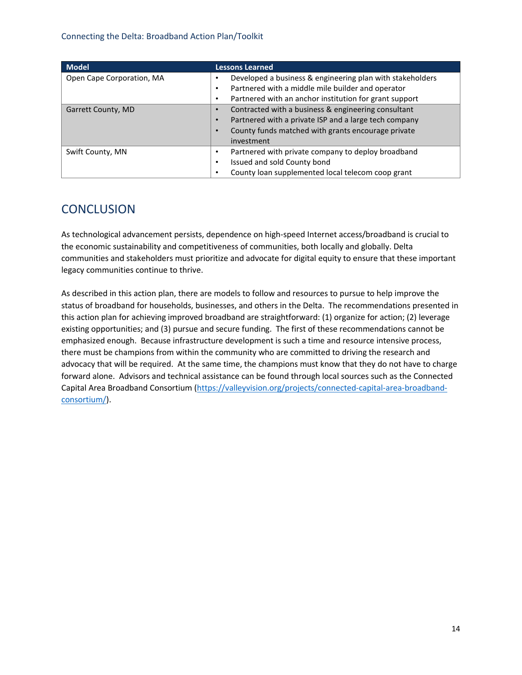#### Connecting the Delta: Broadband Action Plan/Toolkit

| <b>Model</b>              | <b>Lessons Learned</b>                                             |  |
|---------------------------|--------------------------------------------------------------------|--|
| Open Cape Corporation, MA | Developed a business & engineering plan with stakeholders          |  |
|                           | Partnered with a middle mile builder and operator<br>٠             |  |
|                           | Partnered with an anchor institution for grant support             |  |
| Garrett County, MD        | Contracted with a business & engineering consultant                |  |
|                           | Partnered with a private ISP and a large tech company<br>$\bullet$ |  |
|                           | County funds matched with grants encourage private                 |  |
|                           | investment                                                         |  |
| Swift County, MN          | Partnered with private company to deploy broadband                 |  |
|                           | Issued and sold County bond<br>٠                                   |  |
|                           | County loan supplemented local telecom coop grant                  |  |

# **CONCLUSION**

As technological advancement persists, dependence on high-speed Internet access/broadband is crucial to the economic sustainability and competitiveness of communities, both locally and globally. Delta communities and stakeholders must prioritize and advocate for digital equity to ensure that these important legacy communities continue to thrive.

As described in this action plan, there are models to follow and resources to pursue to help improve the status of broadband for households, businesses, and others in the Delta. The recommendations presented in this action plan for achieving improved broadband are straightforward: (1) organize for action; (2) leverage existing opportunities; and (3) pursue and secure funding. The first of these recommendations cannot be emphasized enough. Because infrastructure development is such a time and resource intensive process, there must be champions from within the community who are committed to driving the research and advocacy that will be required. At the same time, the champions must know that they do not have to charge forward alone. Advisors and technical assistance can be found through local sources such as the Connected [Capital Area Broadband Consortium \(https://valleyvision.org/projects/connected-capital-area-broadband](https://valleyvision.org/projects/connected-capital-area-broadband-consortium/)consortium/).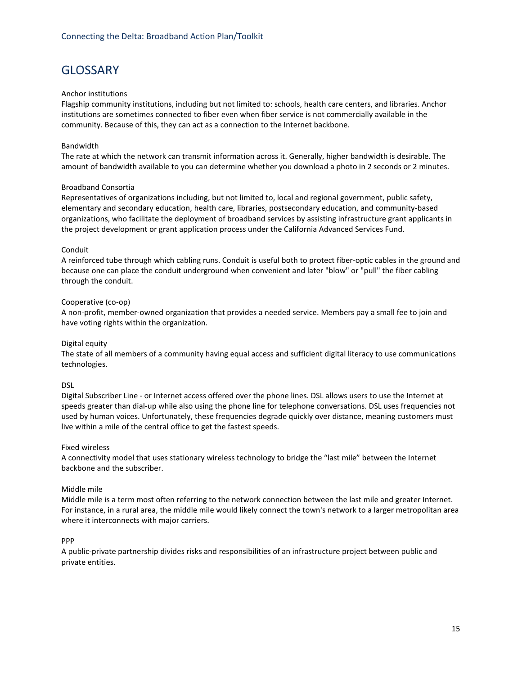# **GLOSSARY**

#### Anchor institutions

Flagship community institutions, including but not limited to: schools, health care centers, and libraries. Anchor institutions are sometimes connected to fiber even when fiber service is not commercially available in the community. Because of this, they can act as a connection to the Internet backbone.

#### Bandwidth

The rate at which the network can transmit information across it. Generally, higher bandwidth is desirable. The amount of bandwidth available to you can determine whether you download a photo in 2 seconds or 2 minutes.

#### Broadband Consortia

Representatives of organizations including, but not limited to, local and regional government, public safety, elementary and secondary education, health care, libraries, postsecondary education, and community-based organizations, who facilitate the deployment of broadband services by assisting infrastructure grant applicants in the project development or grant application process under the California Advanced Services Fund.

#### Conduit

A reinforced tube through which cabling runs. Conduit is useful both to protect fiber-optic cables in the ground and because one can place the conduit underground when convenient and later "blow" or "pull" the fiber cabling through the conduit.

#### Cooperative (co-op)

A non-profit, member-owned organization that provides a needed service. Members pay a small fee to join and have voting rights within the organization.

#### Digital equity

The state of all members of a community having equal access and sufficient digital literacy to use communications technologies.

#### DSL

Digital Subscriber Line - or Internet access offered over the phone lines. DSL allows users to use the Internet at speeds greater than dial-up while also using the phone line for telephone conversations. DSL uses frequencies not used by human voices. Unfortunately, these frequencies degrade quickly over distance, meaning customers must live within a mile of the central office to get the fastest speeds.

#### Fixed wireless

A connectivity model that uses stationary wireless technology to bridge the "last mile" between the Internet backbone and the subscriber.

#### Middle mile

Middle mile is a term most often referring to the network connection between the last mile and greater Internet. For instance, in a rural area, the middle mile would likely connect the town's network to a larger metropolitan area where it interconnects with major carriers.

#### PPP

A public-private partnership divides risks and responsibilities of an infrastructure project between public and private entities.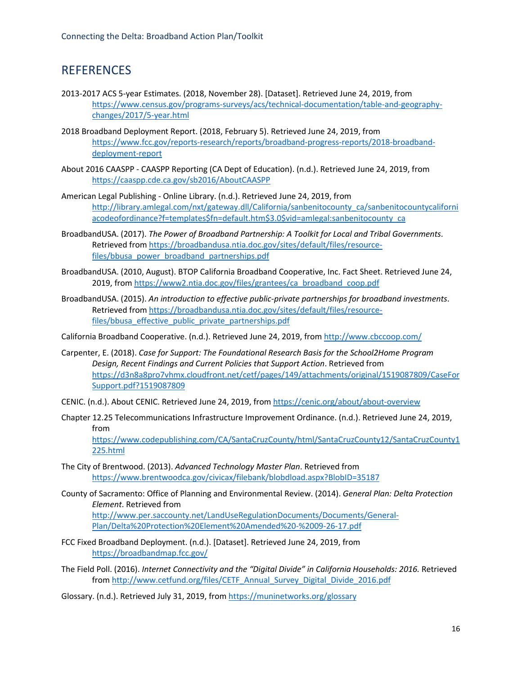# REFERENCES

- 2013-2017 ACS 5-year Estimates. (2018, November 28). [Dataset]. Retrieved June 24, 2019, from [https://www.census.gov/programs-surveys/acs/technical-documentation/table-and-geography](https://www.census.gov/programs-surveys/acs/technical-documentation/table-and-geography-changes/2017/5-year.html)changes/2017/5-year.html
- 2018 Broadband Deployment Report. (2018, February 5). Retrieved June 24, 2019, from [https://www.fcc.gov/reports-research/reports/broadband-progress-reports/2018-broadband](https://www.fcc.gov/reports-research/reports/broadband-progress-reports/2018-broadband-deployment-report)deployment-report
- About 2016 CAASPP CAASPP Reporting (CA Dept of Education). (n.d.). Retrieved June 24, 2019, from <https://caaspp.cde.ca.gov/sb2016/AboutCAASPP>
- American Legal Publishing Online Library. (n.d.). Retrieved June 24, 2019, from [http://library.amlegal.com/nxt/gateway.dll/California/sanbenitocounty\\_ca/sanbenitocountycaliforni](http://library.amlegal.com/nxt/gateway.dll/California/sanbenitocounty_ca/sanbenitocountycaliforniacodeofordinance?f=templates$fn=default.htm$3.0$vid=amlegal:sanbenitocounty_ca) acodeofordinance?f=templates\$fn=default.htm\$3.0\$vid=amlegal:sanbenitocounty\_ca
- BroadbandUSA. (2017). *The Power of Broadband Partnership: A Toolkit for Local and Tribal Governments*. Retrieved from [https://broadbandusa.ntia.doc.gov/sites/default/files/resource](https://broadbandusa.ntia.doc.gov/sites/default/files/resource-files/bbusa_power_broadband_partnerships.pdf)files/bbusa\_power\_broadband\_partnerships.pdf
- BroadbandUSA. (2010, August). BTOP California Broadband Cooperative, Inc. Fact Sheet. Retrieved June 24, 2019, fro[m https://www2.ntia.doc.gov/files/grantees/ca\\_broadband\\_coop.pdf](https://www2.ntia.doc.gov/files/grantees/ca_broadband_coop.pdf)
- BroadbandUSA. (2015). *An introduction to effective public-private partnerships for broadband investments*. Retrieved from [https://broadbandusa.ntia.doc.gov/sites/default/files/resource](https://broadbandusa.ntia.doc.gov/sites/default/files/resource-files/bbusa_effective_public_private_partnerships.pdf)files/bbusa effective public private partnerships.pdf

California Broadband Cooperative. (n.d.). Retrieved June 24, 2019, from<http://www.cbccoop.com/>

- Carpenter, E. (2018). *Case for Support: The Foundational Research Basis for the School2Home Program Design, Recent Findings and Current Policies that Support Action*. Retrieved from [https://d3n8a8pro7vhmx.cloudfront.net/cetf/pages/149/attachments/original/1519087809/CaseFor](https://d3n8a8pro7vhmx.cloudfront.net/cetf/pages/149/attachments/original/1519087809/CaseForSupport.pdf?1519087809) Support.pdf?1519087809
- CENIC. (n.d.). About CENIC. Retrieved June 24, 2019, fro[m https://cenic.org/about/about-overview](https://cenic.org/about/about-overview)
- Chapter 12.25 Telecommunications Infrastructure Improvement Ordinance. (n.d.). Retrieved June 24, 2019, from

[https://www.codepublishing.com/CA/SantaCruzCounty/html/SantaCruzCounty12/SantaCruzCounty1](https://www.codepublishing.com/CA/SantaCruzCounty/html/SantaCruzCounty12/SantaCruzCounty1225.html) 225.html

- The City of Brentwood. (2013). *Advanced Technology Master Plan*. Retrieved from <https://www.brentwoodca.gov/civicax/filebank/blobdload.aspx?BlobID=35187>
- County of Sacramento: Office of Planning and Environmental Review. (2014). *General Plan: Delta Protection Element*. Retrieved from [http://www.per.saccounty.net/LandUseRegulationDocuments/Documents/General-](http://www.per.saccounty.net/LandUseRegulationDocuments/Documents/General-Plan/Delta%20Protection%20Element%20Amended%20-%2009-26-17.pdf)

Plan/Delta%20Protection%20Element%20Amended%20-%2009-26-17.pdf

FCC Fixed Broadband Deployment. (n.d.). [Dataset]. Retrieved June 24, 2019, from <https://broadbandmap.fcc.gov/>

The Field Poll. (2016). *Internet Connectivity and the "Digital Divide" in California Households: 2016.* Retrieved from [http://www.cetfund.org/files/CETF\\_Annual\\_Survey\\_Digital\\_Divide\\_2016.pdf](http://www.cetfund.org/files/CETF_Annual_Survey_Digital_Divide_2016.pdf)

Glossary. (n.d.). Retrieved July 31, 2019, from<https://muninetworks.org/glossary>